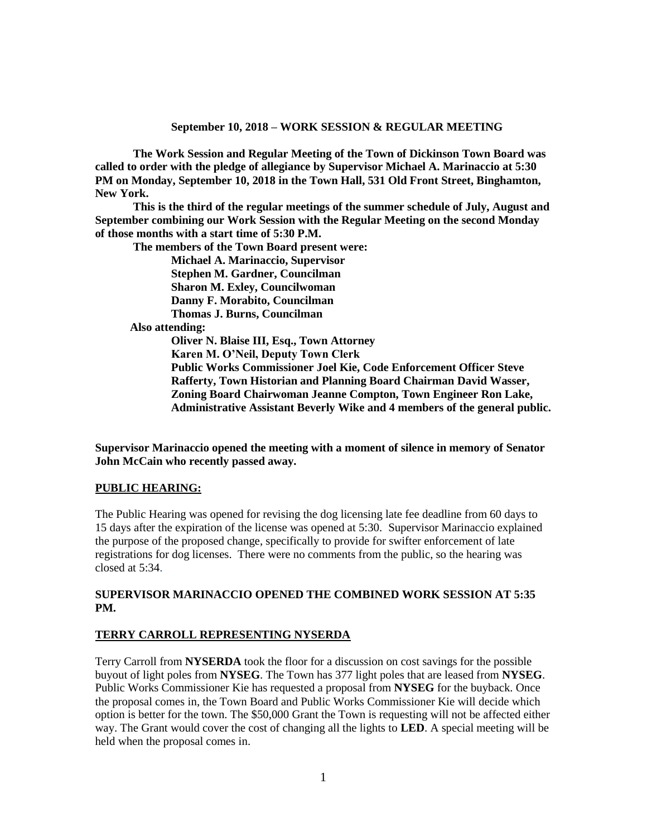**The Work Session and Regular Meeting of the Town of Dickinson Town Board was called to order with the pledge of allegiance by Supervisor Michael A. Marinaccio at 5:30 PM on Monday, September 10, 2018 in the Town Hall, 531 Old Front Street, Binghamton, New York.** 

**This is the third of the regular meetings of the summer schedule of July, August and September combining our Work Session with the Regular Meeting on the second Monday of those months with a start time of 5:30 P.M.**

**The members of the Town Board present were:**

**Michael A. Marinaccio, Supervisor Stephen M. Gardner, Councilman Sharon M. Exley, Councilwoman Danny F. Morabito, Councilman Thomas J. Burns, Councilman Also attending: Oliver N. Blaise III, Esq., Town Attorney Karen M. O'Neil, Deputy Town Clerk Public Works Commissioner Joel Kie, Code Enforcement Officer Steve Rafferty, Town Historian and Planning Board Chairman David Wasser, Zoning Board Chairwoman Jeanne Compton, Town Engineer Ron Lake, Administrative Assistant Beverly Wike and 4 members of the general public.**

**Supervisor Marinaccio opened the meeting with a moment of silence in memory of Senator John McCain who recently passed away.**

#### **PUBLIC HEARING:**

The Public Hearing was opened for revising the dog licensing late fee deadline from 60 days to 15 days after the expiration of the license was opened at 5:30. Supervisor Marinaccio explained the purpose of the proposed change, specifically to provide for swifter enforcement of late registrations for dog licenses. There were no comments from the public, so the hearing was closed at 5:34.

#### **SUPERVISOR MARINACCIO OPENED THE COMBINED WORK SESSION AT 5:35 PM.**

#### **TERRY CARROLL REPRESENTING NYSERDA**

Terry Carroll from **NYSERDA** took the floor for a discussion on cost savings for the possible buyout of light poles from **NYSEG**. The Town has 377 light poles that are leased from **NYSEG**. Public Works Commissioner Kie has requested a proposal from **NYSEG** for the buyback. Once the proposal comes in, the Town Board and Public Works Commissioner Kie will decide which option is better for the town. The \$50,000 Grant the Town is requesting will not be affected either way. The Grant would cover the cost of changing all the lights to **LED**. A special meeting will be held when the proposal comes in.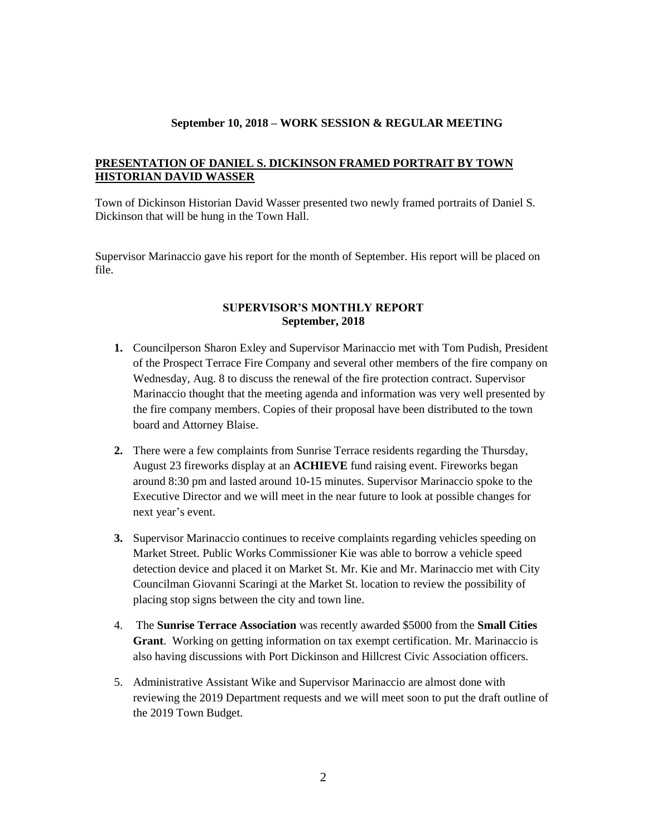## **PRESENTATION OF DANIEL S. DICKINSON FRAMED PORTRAIT BY TOWN HISTORIAN DAVID WASSER**

Town of Dickinson Historian David Wasser presented two newly framed portraits of Daniel S. Dickinson that will be hung in the Town Hall.

Supervisor Marinaccio gave his report for the month of September. His report will be placed on file.

### **SUPERVISOR'S MONTHLY REPORT September, 2018**

- **1.** Councilperson Sharon Exley and Supervisor Marinaccio met with Tom Pudish, President of the Prospect Terrace Fire Company and several other members of the fire company on Wednesday, Aug. 8 to discuss the renewal of the fire protection contract. Supervisor Marinaccio thought that the meeting agenda and information was very well presented by the fire company members. Copies of their proposal have been distributed to the town board and Attorney Blaise.
- **2.** There were a few complaints from Sunrise Terrace residents regarding the Thursday, August 23 fireworks display at an **ACHIEVE** fund raising event. Fireworks began around 8:30 pm and lasted around 10-15 minutes. Supervisor Marinaccio spoke to the Executive Director and we will meet in the near future to look at possible changes for next year's event.
- **3.** Supervisor Marinaccio continues to receive complaints regarding vehicles speeding on Market Street. Public Works Commissioner Kie was able to borrow a vehicle speed detection device and placed it on Market St. Mr. Kie and Mr. Marinaccio met with City Councilman Giovanni Scaringi at the Market St. location to review the possibility of placing stop signs between the city and town line.
- 4. The **Sunrise Terrace Association** was recently awarded \$5000 from the **Small Cities Grant**. Working on getting information on tax exempt certification. Mr. Marinaccio is also having discussions with Port Dickinson and Hillcrest Civic Association officers.
- 5. Administrative Assistant Wike and Supervisor Marinaccio are almost done with reviewing the 2019 Department requests and we will meet soon to put the draft outline of the 2019 Town Budget.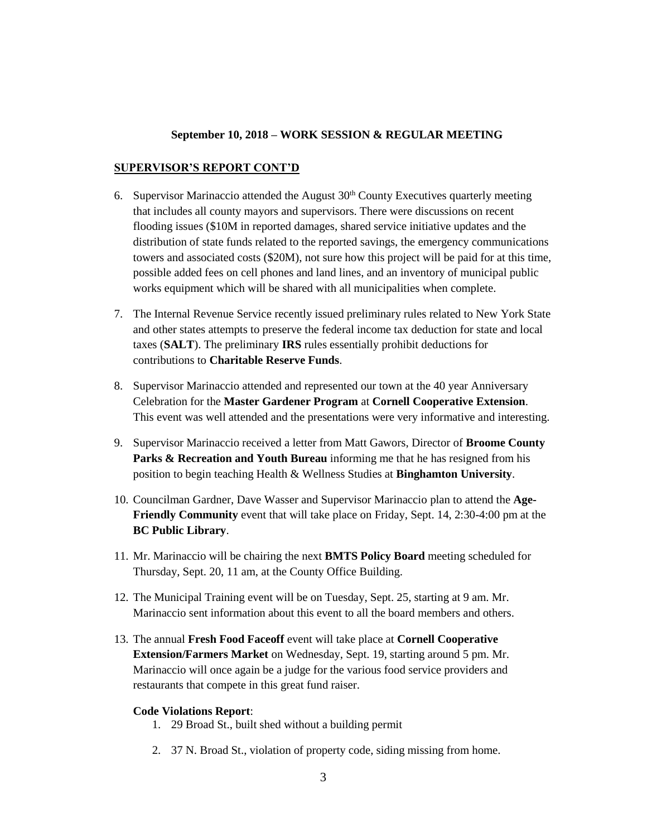#### **SUPERVISOR'S REPORT CONT'D**

- 6. Supervisor Marinaccio attended the August  $30<sup>th</sup>$  County Executives quarterly meeting that includes all county mayors and supervisors. There were discussions on recent flooding issues (\$10M in reported damages, shared service initiative updates and the distribution of state funds related to the reported savings, the emergency communications towers and associated costs (\$20M), not sure how this project will be paid for at this time, possible added fees on cell phones and land lines, and an inventory of municipal public works equipment which will be shared with all municipalities when complete.
- 7. The Internal Revenue Service recently issued preliminary rules related to New York State and other states attempts to preserve the federal income tax deduction for state and local taxes (**SALT**). The preliminary **IRS** rules essentially prohibit deductions for contributions to **Charitable Reserve Funds**.
- 8. Supervisor Marinaccio attended and represented our town at the 40 year Anniversary Celebration for the **Master Gardener Program** at **Cornell Cooperative Extension**. This event was well attended and the presentations were very informative and interesting.
- 9. Supervisor Marinaccio received a letter from Matt Gawors, Director of **Broome County Parks & Recreation and Youth Bureau** informing me that he has resigned from his position to begin teaching Health & Wellness Studies at **Binghamton University**.
- 10. Councilman Gardner, Dave Wasser and Supervisor Marinaccio plan to attend the **Age-Friendly Community** event that will take place on Friday, Sept. 14, 2:30-4:00 pm at the **BC Public Library**.
- 11. Mr. Marinaccio will be chairing the next **BMTS Policy Board** meeting scheduled for Thursday, Sept. 20, 11 am, at the County Office Building.
- 12. The Municipal Training event will be on Tuesday, Sept. 25, starting at 9 am. Mr. Marinaccio sent information about this event to all the board members and others.
- 13. The annual **Fresh Food Faceoff** event will take place at **Cornell Cooperative Extension/Farmers Market** on Wednesday, Sept. 19, starting around 5 pm. Mr. Marinaccio will once again be a judge for the various food service providers and restaurants that compete in this great fund raiser.

#### **Code Violations Report**:

- 1. 29 Broad St., built shed without a building permit
- 2. 37 N. Broad St., violation of property code, siding missing from home.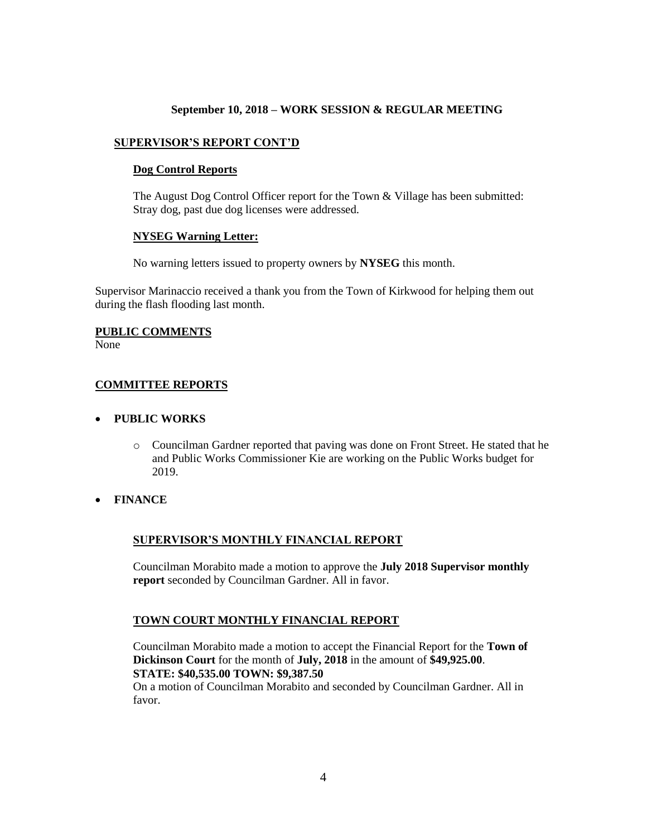## **SUPERVISOR'S REPORT CONT'D**

#### **Dog Control Reports**

The August Dog Control Officer report for the Town & Village has been submitted: Stray dog, past due dog licenses were addressed.

### **NYSEG Warning Letter:**

No warning letters issued to property owners by **NYSEG** this month.

Supervisor Marinaccio received a thank you from the Town of Kirkwood for helping them out during the flash flooding last month.

#### **PUBLIC COMMENTS**

None

### **COMMITTEE REPORTS**

#### **PUBLIC WORKS**

- o Councilman Gardner reported that paving was done on Front Street. He stated that he and Public Works Commissioner Kie are working on the Public Works budget for 2019.
- **FINANCE**

### **SUPERVISOR'S MONTHLY FINANCIAL REPORT**

Councilman Morabito made a motion to approve the **July 2018 Supervisor monthly report** seconded by Councilman Gardner. All in favor.

### **TOWN COURT MONTHLY FINANCIAL REPORT**

Councilman Morabito made a motion to accept the Financial Report for the **Town of Dickinson Court** for the month of **July, 2018** in the amount of **\$49,925.00**. **STATE: \$40,535.00 TOWN: \$9,387.50**

On a motion of Councilman Morabito and seconded by Councilman Gardner. All in favor.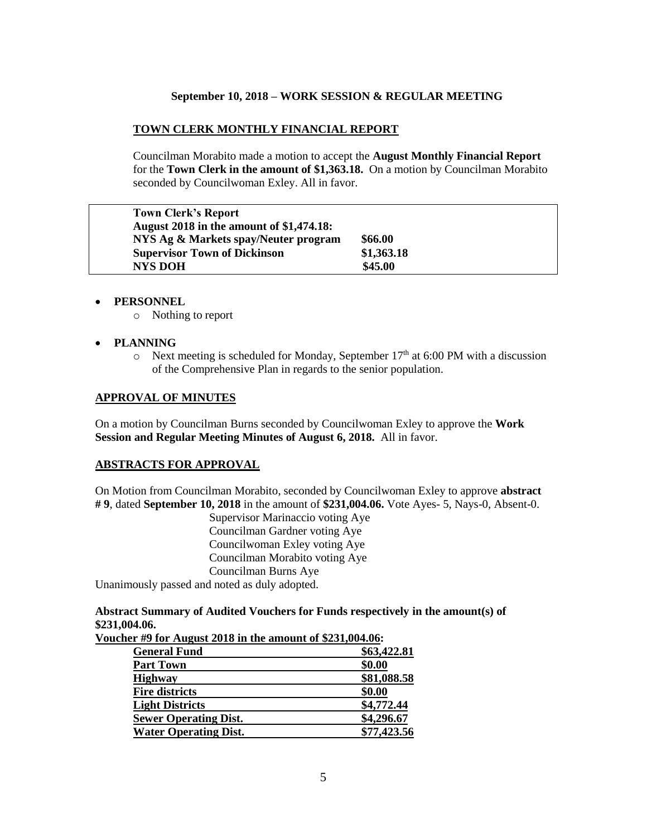# **TOWN CLERK MONTHLY FINANCIAL REPORT**

Councilman Morabito made a motion to accept the **August Monthly Financial Report** for the **Town Clerk in the amount of \$1,363.18.** On a motion by Councilman Morabito seconded by Councilwoman Exley. All in favor.

| <b>Town Clerk's Report</b>                      |            |
|-------------------------------------------------|------------|
| <b>August 2018 in the amount of \$1,474.18:</b> |            |
| NYS Ag & Markets spay/Neuter program            | \$66.00    |
| <b>Supervisor Town of Dickinson</b>             | \$1,363.18 |
| <b>NYS DOH</b>                                  | \$45.00    |

- **PERSONNEL**
	- o Nothing to report
- **PLANNING**
	- $\circ$  Next meeting is scheduled for Monday, September 17<sup>th</sup> at 6:00 PM with a discussion of the Comprehensive Plan in regards to the senior population.

### **APPROVAL OF MINUTES**

On a motion by Councilman Burns seconded by Councilwoman Exley to approve the **Work Session and Regular Meeting Minutes of August 6, 2018.** All in favor.

### **ABSTRACTS FOR APPROVAL**

On Motion from Councilman Morabito, seconded by Councilwoman Exley to approve **abstract # 9**, dated **September 10, 2018** in the amount of **\$231,004.06.** Vote Ayes- 5, Nays-0, Absent-0.

Supervisor Marinaccio voting Aye Councilman Gardner voting Aye Councilwoman Exley voting Aye Councilman Morabito voting Aye Councilman Burns Aye

Unanimously passed and noted as duly adopted.

## **Abstract Summary of Audited Vouchers for Funds respectively in the amount(s) of \$231,004.06.**

| Voucher #9 for August 2018 in the amount of \$231,004.06: |  |  |  |  |
|-----------------------------------------------------------|--|--|--|--|
|-----------------------------------------------------------|--|--|--|--|

| <b>General Fund</b>          | \$63,422.81 |
|------------------------------|-------------|
| <b>Part Town</b>             | \$0.00      |
| <b>Highway</b>               | \$81,088.58 |
| <b>Fire districts</b>        | \$0.00      |
| <b>Light Districts</b>       | \$4,772.44  |
| <b>Sewer Operating Dist.</b> | \$4,296.67  |
| <b>Water Operating Dist.</b> | \$77,423.56 |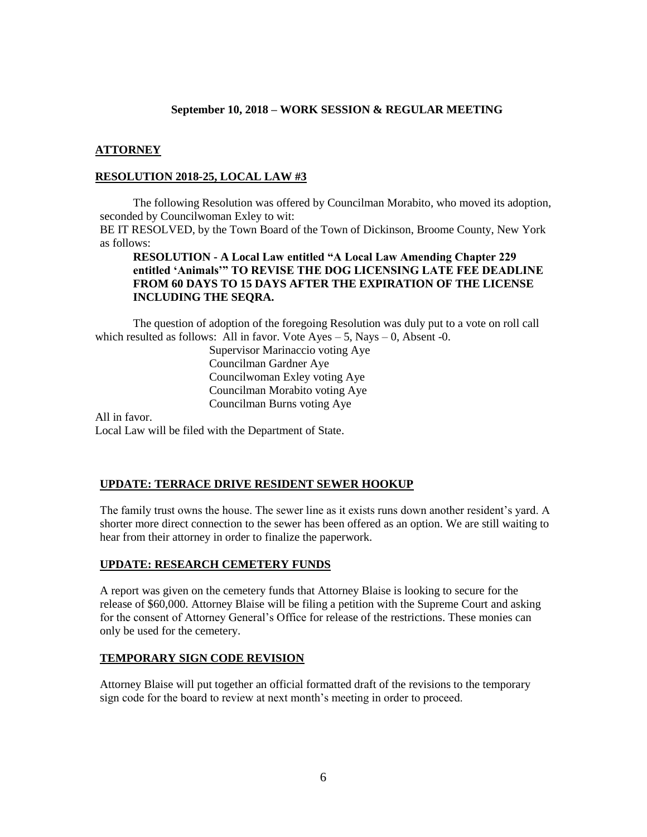#### **ATTORNEY**

#### **RESOLUTION 2018-25, LOCAL LAW #3**

The following Resolution was offered by Councilman Morabito, who moved its adoption, seconded by Councilwoman Exley to wit:

BE IT RESOLVED, by the Town Board of the Town of Dickinson, Broome County, New York as follows:

## **RESOLUTION - A Local Law entitled "A Local Law Amending Chapter 229 entitled 'Animals'" TO REVISE THE DOG LICENSING LATE FEE DEADLINE FROM 60 DAYS TO 15 DAYS AFTER THE EXPIRATION OF THE LICENSE INCLUDING THE SEQRA.**

The question of adoption of the foregoing Resolution was duly put to a vote on roll call which resulted as follows: All in favor. Vote  $Ayes - 5$ , Nays  $- 0$ , Absent -0.

> Supervisor Marinaccio voting Aye Councilman Gardner Aye Councilwoman Exley voting Aye Councilman Morabito voting Aye Councilman Burns voting Aye

All in favor. Local Law will be filed with the Department of State.

#### **UPDATE: TERRACE DRIVE RESIDENT SEWER HOOKUP**

The family trust owns the house. The sewer line as it exists runs down another resident's yard. A shorter more direct connection to the sewer has been offered as an option. We are still waiting to hear from their attorney in order to finalize the paperwork.

#### **UPDATE: RESEARCH CEMETERY FUNDS**

A report was given on the cemetery funds that Attorney Blaise is looking to secure for the release of \$60,000. Attorney Blaise will be filing a petition with the Supreme Court and asking for the consent of Attorney General's Office for release of the restrictions. These monies can only be used for the cemetery.

#### **TEMPORARY SIGN CODE REVISION**

Attorney Blaise will put together an official formatted draft of the revisions to the temporary sign code for the board to review at next month's meeting in order to proceed.